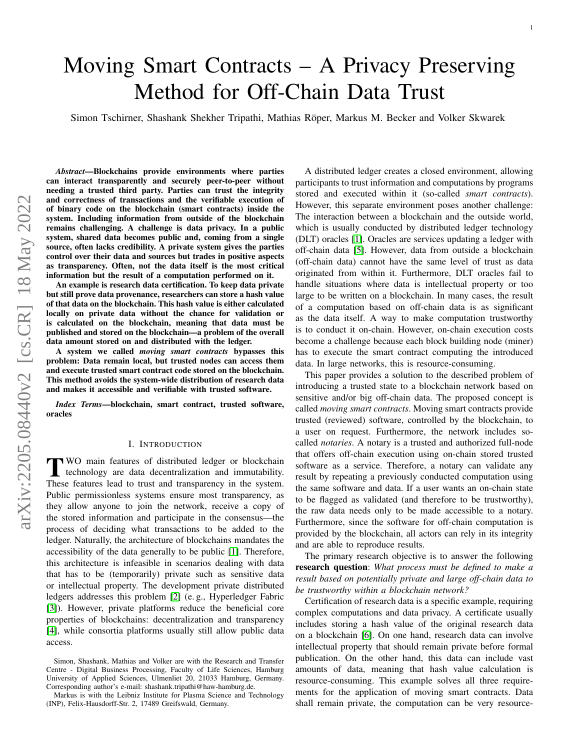# Moving Smart Contracts – A Privacy Preserving Method for Off-Chain Data Trust

Simon Tschirner, Shashank Shekher Tripathi, Mathias Röper, Markus M. Becker and Volker Skwarek

*Abstract*—Blockchains provide environments where parties can interact transparently and securely peer-to-peer without needing a trusted third party. Parties can trust the integrity and correctness of transactions and the verifiable execution of of binary code on the blockchain (smart contracts) inside the system. Including information from outside of the blockchain remains challenging. A challenge is data privacy. In a public system, shared data becomes public and, coming from a single source, often lacks credibility. A private system gives the parties control over their data and sources but trades in positive aspects as transparency. Often, not the data itself is the most critical information but the result of a computation performed on it.

An example is research data certification. To keep data private but still prove data provenance, researchers can store a hash value of that data on the blockchain. This hash value is either calculated locally on private data without the chance for validation or is calculated on the blockchain, meaning that data must be published and stored on the blockchain—a problem of the overall data amount stored on and distributed with the ledger.

A system we called *moving smart contracts* bypasses this problem: Data remain local, but trusted nodes can access them and execute trusted smart contract code stored on the blockchain. This method avoids the system-wide distribution of research data and makes it accessible and verifiable with trusted software.

*Index Terms*—blockchain, smart contract, trusted software, oracles

#### I. INTRODUCTION

TWO main features of distributed ledger or blockchain<br>technology are data decentralization and immutability. WO main features of distributed ledger or blockchain These features lead to trust and transparency in the system. Public permissionless systems ensure most transparency, as they allow anyone to join the network, receive a copy of the stored information and participate in the consensus—the process of deciding what transactions to be added to the ledger. Naturally, the architecture of blockchains mandates the accessibility of the data generally to be public [\[1\]](#page-9-0). Therefore, this architecture is infeasible in scenarios dealing with data that has to be (temporarily) private such as sensitive data or intellectual property. The development private distributed ledgers addresses this problem [\[2\]](#page-9-1) (e. g., Hyperledger Fabric [\[3\]](#page-9-2)). However, private platforms reduce the beneficial core properties of blockchains: decentralization and transparency [\[4\]](#page-9-3), while consortia platforms usually still allow public data access.

A distributed ledger creates a closed environment, allowing participants to trust information and computations by programs stored and executed within it (so-called *smart contracts*). However, this separate environment poses another challenge: The interaction between a blockchain and the outside world, which is usually conducted by distributed ledger technology (DLT) oracles [\[1\]](#page-9-0). Oracles are services updating a ledger with off-chain data [\[5\]](#page-9-4). However, data from outside a blockchain (off-chain data) cannot have the same level of trust as data originated from within it. Furthermore, DLT oracles fail to handle situations where data is intellectual property or too large to be written on a blockchain. In many cases, the result of a computation based on off-chain data is as significant as the data itself. A way to make computation trustworthy is to conduct it on-chain. However, on-chain execution costs become a challenge because each block building node (miner) has to execute the smart contract computing the introduced data. In large networks, this is resource-consuming.

This paper provides a solution to the described problem of introducing a trusted state to a blockchain network based on sensitive and/or big off-chain data. The proposed concept is called *moving smart contracts*. Moving smart contracts provide trusted (reviewed) software, controlled by the blockchain, to a user on request. Furthermore, the network includes socalled *notaries*. A notary is a trusted and authorized full-node that offers off-chain execution using on-chain stored trusted software as a service. Therefore, a notary can validate any result by repeating a previously conducted computation using the same software and data. If a user wants an on-chain state to be flagged as validated (and therefore to be trustworthy), the raw data needs only to be made accessible to a notary. Furthermore, since the software for off-chain computation is provided by the blockchain, all actors can rely in its integrity and are able to reproduce results.

The primary research objective is to answer the following research question: *What process must be defined to make a result based on potentially private and large off-chain data to be trustworthy within a blockchain network?*

Certification of research data is a specific example, requiring complex computations and data privacy. A certificate usually includes storing a hash value of the original research data on a blockchain [\[6\]](#page-9-5). On one hand, research data can involve intellectual property that should remain private before formal publication. On the other hand, this data can include vast amounts of data, meaning that hash value calculation is resource-consuming. This example solves all three requirements for the application of moving smart contracts. Data shall remain private, the computation can be very resource-

Simon, Shashank, Mathias and Volker are with the Research and Transfer Centre - Digital Business Processing, Faculty of Life Sciences, Hamburg University of Applied Sciences, Ulmenliet 20, 21033 Hamburg, Germany. Corresponding author's e-mail: shashank.tripathi@haw-hamburg.de.

Markus is with the Leibniz Institute for Plasma Science and Technology (INP), Felix-Hausdorff-Str. 2, 17489 Greifswald, Germany.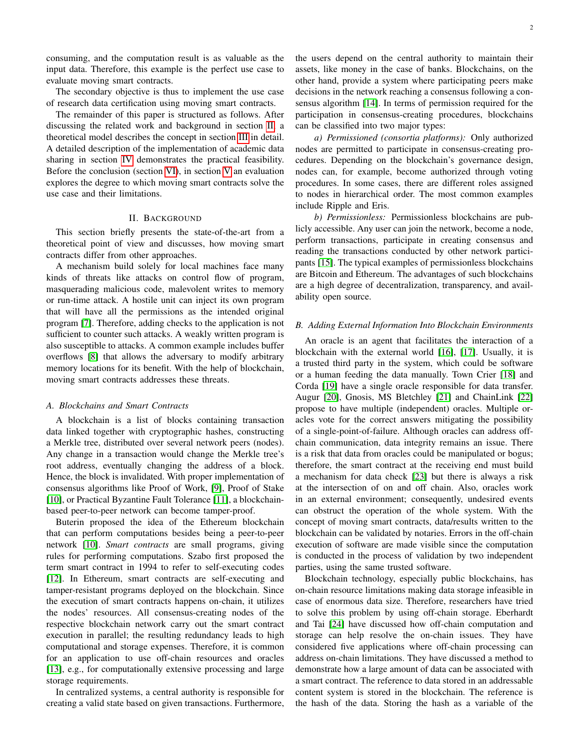consuming, and the computation result is as valuable as the input data. Therefore, this example is the perfect use case to evaluate moving smart contracts.

The secondary objective is thus to implement the use case of research data certification using moving smart contracts.

The remainder of this paper is structured as follows. After discussing the related work and background in section [II,](#page-1-0) a theoretical model describes the concept in section [III](#page-2-0) in detail. A detailed description of the implementation of academic data sharing in section [IV](#page-4-0) demonstrates the practical feasibility. Before the conclusion (section [VI\)](#page-8-0), in section [V](#page-8-1) an evaluation explores the degree to which moving smart contracts solve the use case and their limitations.

# II. BACKGROUND

<span id="page-1-0"></span>This section briefly presents the state-of-the-art from a theoretical point of view and discusses, how moving smart contracts differ from other approaches.

A mechanism build solely for local machines face many kinds of threats like attacks on control flow of program, masquerading malicious code, malevolent writes to memory or run-time attack. A hostile unit can inject its own program that will have all the permissions as the intended original program [\[7\]](#page-9-6). Therefore, adding checks to the application is not sufficient to counter such attacks. A weakly written program is also susceptible to attacks. A common example includes buffer overflows [\[8\]](#page-9-7) that allows the adversary to modify arbitrary memory locations for its benefit. With the help of blockchain, moving smart contracts addresses these threats.

# *A. Blockchains and Smart Contracts*

A blockchain is a list of blocks containing transaction data linked together with cryptographic hashes, constructing a Merkle tree, distributed over several network peers (nodes). Any change in a transaction would change the Merkle tree's root address, eventually changing the address of a block. Hence, the block is invalidated. With proper implementation of consensus algorithms like Proof of Work, [\[9\]](#page-9-8), Proof of Stake [\[10\]](#page-9-9), or Practical Byzantine Fault Tolerance [\[11\]](#page-9-10), a blockchainbased peer-to-peer network can become tamper-proof.

Buterin proposed the idea of the Ethereum blockchain that can perform computations besides being a peer-to-peer network [\[10\]](#page-9-9). *Smart contracts* are small programs, giving rules for performing computations. Szabo first proposed the term smart contract in 1994 to refer to self-executing codes [\[12\]](#page-9-11). In Ethereum, smart contracts are self-executing and tamper-resistant programs deployed on the blockchain. Since the execution of smart contracts happens on-chain, it utilizes the nodes' resources. All consensus-creating nodes of the respective blockchain network carry out the smart contract execution in parallel; the resulting redundancy leads to high computational and storage expenses. Therefore, it is common for an application to use off-chain resources and oracles [\[13\]](#page-9-12), e.g., for computationally extensive processing and large storage requirements.

In centralized systems, a central authority is responsible for creating a valid state based on given transactions. Furthermore, the users depend on the central authority to maintain their assets, like money in the case of banks. Blockchains, on the other hand, provide a system where participating peers make decisions in the network reaching a consensus following a consensus algorithm [\[14\]](#page-9-13). In terms of permission required for the participation in consensus-creating procedures, blockchains can be classified into two major types:

*a) Permissioned (consortia platforms):* Only authorized nodes are permitted to participate in consensus-creating procedures. Depending on the blockchain's governance design, nodes can, for example, become authorized through voting procedures. In some cases, there are different roles assigned to nodes in hierarchical order. The most common examples include Ripple and Eris.

*b) Permissionless:* Permissionless blockchains are publicly accessible. Any user can join the network, become a node, perform transactions, participate in creating consensus and reading the transactions conducted by other network participants [\[15\]](#page-9-14). The typical examples of permissionless blockchains are Bitcoin and Ethereum. The advantages of such blockchains are a high degree of decentralization, transparency, and availability open source.

## *B. Adding External Information Into Blockchain Environments*

An oracle is an agent that facilitates the interaction of a blockchain with the external world [\[16\]](#page-9-15), [\[17\]](#page-9-16). Usually, it is a trusted third party in the system, which could be software or a human feeding the data manually. Town Crier [\[18\]](#page-9-17) and Corda [\[19\]](#page-9-18) have a single oracle responsible for data transfer. Augur [\[20\]](#page-9-19), Gnosis, MS Bletchley [\[21\]](#page-9-20) and ChainLink [\[22\]](#page-9-21) propose to have multiple (independent) oracles. Multiple oracles vote for the correct answers mitigating the possibility of a single-point-of-failure. Although oracles can address offchain communication, data integrity remains an issue. There is a risk that data from oracles could be manipulated or bogus; therefore, the smart contract at the receiving end must build a mechanism for data check [\[23\]](#page-9-22) but there is always a risk at the intersection of on and off chain. Also, oracles work in an external environment; consequently, undesired events can obstruct the operation of the whole system. With the concept of moving smart contracts, data/results written to the blockchain can be validated by notaries. Errors in the off-chain execution of software are made visible since the computation is conducted in the process of validation by two independent parties, using the same trusted software.

Blockchain technology, especially public blockchains, has on-chain resource limitations making data storage infeasible in case of enormous data size. Therefore, researchers have tried to solve this problem by using off-chain storage. Eberhardt and Tai [\[24\]](#page-9-23) have discussed how off-chain computation and storage can help resolve the on-chain issues. They have considered five applications where off-chain processing can address on-chain limitations. They have discussed a method to demonstrate how a large amount of data can be associated with a smart contract. The reference to data stored in an addressable content system is stored in the blockchain. The reference is the hash of the data. Storing the hash as a variable of the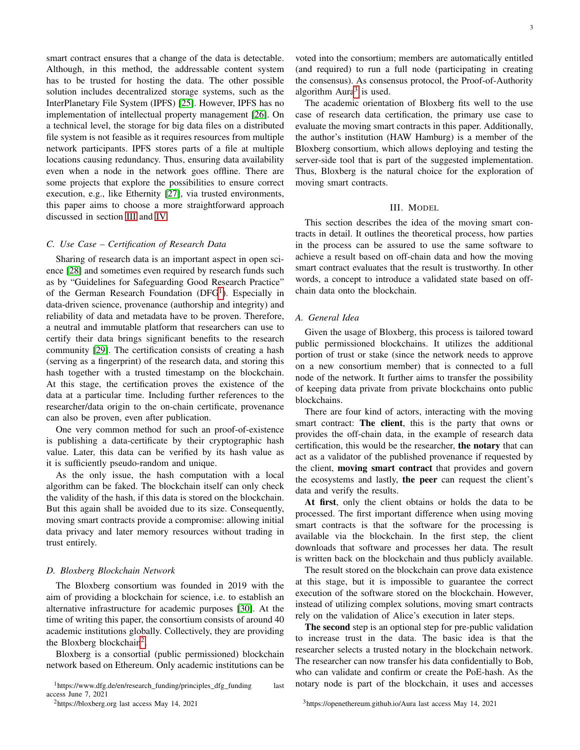smart contract ensures that a change of the data is detectable. Although, in this method, the addressable content system has to be trusted for hosting the data. The other possible solution includes decentralized storage systems, such as the InterPlanetary File System (IPFS) [\[25\]](#page-9-24). However, IPFS has no implementation of intellectual property management [\[26\]](#page-9-25). On a technical level, the storage for big data files on a distributed file system is not feasible as it requires resources from multiple network participants. IPFS stores parts of a file at multiple locations causing redundancy. Thus, ensuring data availability even when a node in the network goes offline. There are some projects that explore the possibilities to ensure correct execution, e.g., like Ethernity [\[27\]](#page-9-26), via trusted environments, this paper aims to choose a more straightforward approach discussed in section [III](#page-2-0) and [IV.](#page-4-0)

# *C. Use Case – Certification of Research Data*

Sharing of research data is an important aspect in open science [\[28\]](#page-9-27) and sometimes even required by research funds such as by "Guidelines for Safeguarding Good Research Practice" of the German Research Foundation (DFG<sup>[1](#page-2-1)</sup>). Especially in data-driven science, provenance (authorship and integrity) and reliability of data and metadata have to be proven. Therefore, a neutral and immutable platform that researchers can use to certify their data brings significant benefits to the research community [\[29\]](#page-9-28). The certification consists of creating a hash (serving as a fingerprint) of the research data, and storing this hash together with a trusted timestamp on the blockchain. At this stage, the certification proves the existence of the data at a particular time. Including further references to the researcher/data origin to the on-chain certificate, provenance can also be proven, even after publication.

One very common method for such an proof-of-existence is publishing a data-certificate by their cryptographic hash value. Later, this data can be verified by its hash value as it is sufficiently pseudo-random and unique.

As the only issue, the hash computation with a local algorithm can be faked. The blockchain itself can only check the validity of the hash, if this data is stored on the blockchain. But this again shall be avoided due to its size. Consequently, moving smart contracts provide a compromise: allowing initial data privacy and later memory resources without trading in trust entirely.

## *D. Bloxberg Blockchain Network*

The Bloxberg consortium was founded in 2019 with the aim of providing a blockchain for science, i.e. to establish an alternative infrastructure for academic purposes [\[30\]](#page-9-29). At the time of writing this paper, the consortium consists of around 40 academic institutions globally. Collectively, they are providing the Bloxberg blockchain<sup>[2](#page-2-2)</sup>.

Bloxberg is a consortial (public permissioned) blockchain network based on Ethereum. Only academic institutions can be

<span id="page-2-2"></span><sup>2</sup>https://bloxberg.org last access May 14, 2021

voted into the consortium; members are automatically entitled (and required) to run a full node (participating in creating the consensus). As consensus protocol, the Proof-of-Authority algorithm  $Aura<sup>3</sup>$  $Aura<sup>3</sup>$  $Aura<sup>3</sup>$  is used.

The academic orientation of Bloxberg fits well to the use case of research data certification, the primary use case to evaluate the moving smart contracts in this paper. Additionally, the author's institution (HAW Hamburg) is a member of the Bloxberg consortium, which allows deploying and testing the server-side tool that is part of the suggested implementation. Thus, Bloxberg is the natural choice for the exploration of moving smart contracts.

# III. MODEL

<span id="page-2-0"></span>This section describes the idea of the moving smart contracts in detail. It outlines the theoretical process, how parties in the process can be assured to use the same software to achieve a result based on off-chain data and how the moving smart contract evaluates that the result is trustworthy. In other words, a concept to introduce a validated state based on offchain data onto the blockchain.

# *A. General Idea*

Given the usage of Bloxberg, this process is tailored toward public permissioned blockchains. It utilizes the additional portion of trust or stake (since the network needs to approve on a new consortium member) that is connected to a full node of the network. It further aims to transfer the possibility of keeping data private from private blockchains onto public blockchains.

There are four kind of actors, interacting with the moving smart contract: The client, this is the party that owns or provides the off-chain data, in the example of research data certification, this would be the researcher, the notary that can act as a validator of the published provenance if requested by the client, moving smart contract that provides and govern the ecosystems and lastly, the peer can request the client's data and verify the results.

At first, only the client obtains or holds the data to be processed. The first important difference when using moving smart contracts is that the software for the processing is available via the blockchain. In the first step, the client downloads that software and processes her data. The result is written back on the blockchain and thus publicly available.

The result stored on the blockchain can prove data existence at this stage, but it is impossible to guarantee the correct execution of the software stored on the blockchain. However, instead of utilizing complex solutions, moving smart contracts rely on the validation of Alice's execution in later steps.

The second step is an optional step for pre-public validation to increase trust in the data. The basic idea is that the researcher selects a trusted notary in the blockchain network. The researcher can now transfer his data confidentially to Bob, who can validate and confirm or create the PoE-hash. As the notary node is part of the blockchain, it uses and accesses

<span id="page-2-3"></span><sup>3</sup>https://openethereum.github.io/Aura last access May 14, 2021

<span id="page-2-1"></span><sup>1</sup>https://www.dfg.de/en/research\_funding/principles\_dfg\_funding last access June 7, 2021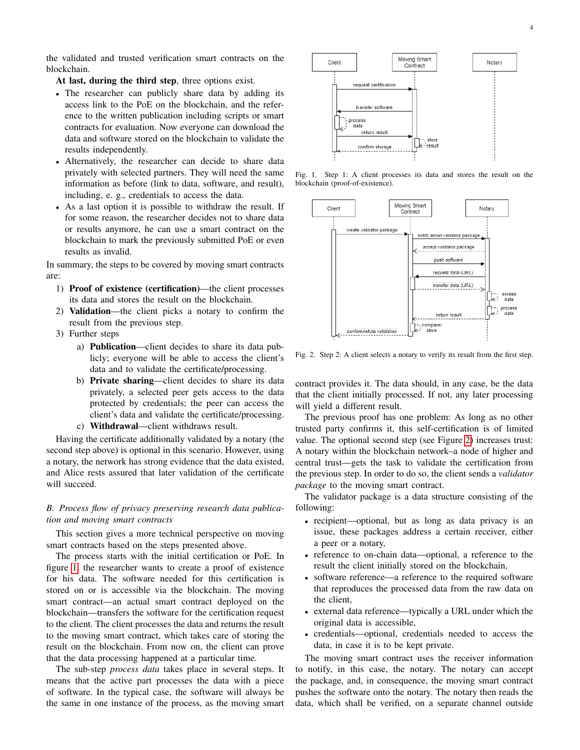the validated and trusted verification smart contracts on the blockchain.

At last, during the third step, three options exist.

- The researcher can publicly share data by adding its access link to the PoE on the blockchain, and the reference to the written publication including scripts or smart contracts for evaluation. Now everyone can download the data and software stored on the blockchain to validate the results independently.
- Alternatively, the researcher can decide to share data privately with selected partners. They will need the same information as before (link to data, software, and result), including, e. g., credentials to access the data.
- As a last option it is possible to withdraw the result. If for some reason, the researcher decides not to share data or results anymore, he can use a smart contract on the blockchain to mark the previously submitted PoE or even results as invalid.

In summary, the steps to be covered by moving smart contracts are:

- 1) Proof of existence (certification)—the client processes its data and stores the result on the blockchain.
- 2) Validation—the client picks a notary to confirm the result from the previous step.
- 3) Further steps
	- a) Publication—client decides to share its data publicly; everyone will be able to access the client's data and to validate the certificate/processing.
	- b) Private sharing—client decides to share its data privately, a selected peer gets access to the data protected by credentials; the peer can access the client's data and validate the certificate/processing.
	- c) Withdrawal—client withdraws result.

Having the certificate additionally validated by a notary (the second step above) is optional in this scenario. However, using a notary, the network has strong evidence that the data existed, and Alice rests assured that later validation of the certificate will succeed.

# *B. Process flow of privacy preserving research data publication and moving smart contracts*

This section gives a more technical perspective on moving smart contracts based on the steps presented above.

The process starts with the initial certification or PoE. In figure [1,](#page-3-0) the researcher wants to create a proof of existence for his data. The software needed for this certification is stored on or is accessible via the blockchain. The moving smart contract—an actual smart contract deployed on the blockchain—transfers the software for the certification request to the client. The client processes the data and returns the result to the moving smart contract, which takes care of storing the result on the blockchain. From now on, the client can prove that the data processing happened at a particular time.

The sub-step *process data* takes place in several steps. It means that the active part processes the data with a piece of software. In the typical case, the software will always be the same in one instance of the process, as the moving smart



<span id="page-3-0"></span>Fig. 1. Step 1: A client processes its data and stores the result on the blockchain (proof-of-existence).



<span id="page-3-1"></span>Fig. 2. Step 2: A client selects a notary to verify its result from the first step.

contract provides it. The data should, in any case, be the data that the client initially processed. If not, any later processing will yield a different result.

The previous proof has one problem: As long as no other trusted party confirms it, this self-certification is of limited value. The optional second step (see Figure [2\)](#page-3-1) increases trust: A notary within the blockchain network–a node of higher and central trust—gets the task to validate the certification from the previous step. In order to do so, the client sends a *validator package* to the moving smart contract.

The validator package is a data structure consisting of the following:

- recipient—optional, but as long as data privacy is an issue, these packages address a certain receiver, either a peer or a notary,
- reference to on-chain data—optional, a reference to the result the client initially stored on the blockchain,
- software reference—a reference to the required software that reproduces the processed data from the raw data on the client,
- external data reference—typically a URL under which the original data is accessible,
- credentials—optional, credentials needed to access the data, in case it is to be kept private.

The moving smart contract uses the receiver information to notify, in this case, the notary. The notary can accept the package, and, in consequence, the moving smart contract pushes the software onto the notary. The notary then reads the data, which shall be verified, on a separate channel outside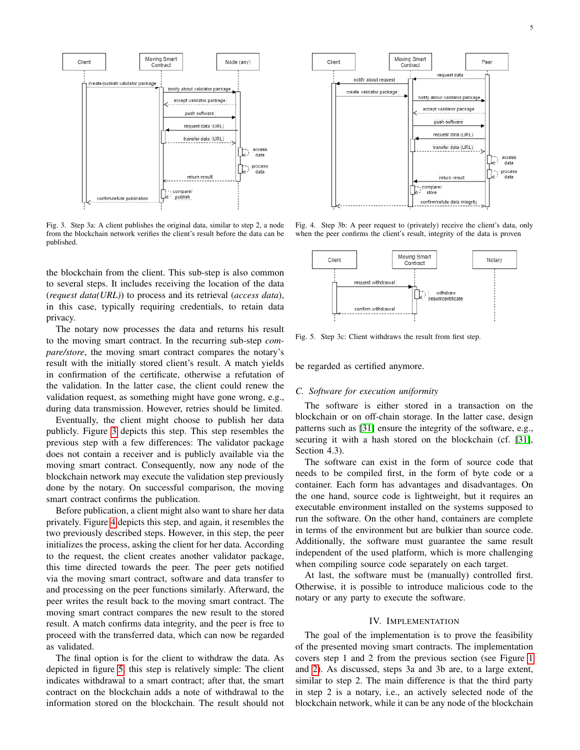

<span id="page-4-1"></span>Fig. 3. Step 3a: A client publishes the original data, similar to step 2, a node from the blockchain network verifies the client's result before the data can be published.

the blockchain from the client. This sub-step is also common to several steps. It includes receiving the location of the data (*request data(URL)*) to process and its retrieval (*access data*), in this case, typically requiring credentials, to retain data privacy.

The notary now processes the data and returns his result to the moving smart contract. In the recurring sub-step *compare/store*, the moving smart contract compares the notary's result with the initially stored client's result. A match yields in confirmation of the certificate, otherwise a refutation of the validation. In the latter case, the client could renew the validation request, as something might have gone wrong, e.g., during data transmission. However, retries should be limited.

Eventually, the client might choose to publish her data publicly. Figure [3](#page-4-1) depicts this step. This step resembles the previous step with a few differences: The validator package does not contain a receiver and is publicly available via the moving smart contract. Consequently, now any node of the blockchain network may execute the validation step previously done by the notary. On successful comparison, the moving smart contract confirms the publication.

Before publication, a client might also want to share her data privately. Figure [4](#page-4-2) depicts this step, and again, it resembles the two previously described steps. However, in this step, the peer initializes the process, asking the client for her data. According to the request, the client creates another validator package, this time directed towards the peer. The peer gets notified via the moving smart contract, software and data transfer to and processing on the peer functions similarly. Afterward, the peer writes the result back to the moving smart contract. The moving smart contract compares the new result to the stored result. A match confirms data integrity, and the peer is free to proceed with the transferred data, which can now be regarded as validated.

The final option is for the client to withdraw the data. As depicted in figure [5,](#page-4-3) this step is relatively simple: The client indicates withdrawal to a smart contract; after that, the smart contract on the blockchain adds a note of withdrawal to the information stored on the blockchain. The result should not



<span id="page-4-2"></span>Fig. 4. Step 3b: A peer request to (privately) receive the client's data, only when the peer confirms the client's result, integrity of the data is proven



<span id="page-4-3"></span>Fig. 5. Step 3c: Client withdraws the result from first step.

be regarded as certified anymore.

# *C. Software for execution uniformity*

The software is either stored in a transaction on the blockchain or on off-chain storage. In the latter case, design patterns such as [\[31\]](#page-9-30) ensure the integrity of the software, e.g., securing it with a hash stored on the blockchain (cf. [\[31\]](#page-9-30), Section 4.3).

The software can exist in the form of source code that needs to be compiled first, in the form of byte code or a container. Each form has advantages and disadvantages. On the one hand, source code is lightweight, but it requires an executable environment installed on the systems supposed to run the software. On the other hand, containers are complete in terms of the environment but are bulkier than source code. Additionally, the software must guarantee the same result independent of the used platform, which is more challenging when compiling source code separately on each target.

At last, the software must be (manually) controlled first. Otherwise, it is possible to introduce malicious code to the notary or any party to execute the software.

# IV. IMPLEMENTATION

<span id="page-4-0"></span>The goal of the implementation is to prove the feasibility of the presented moving smart contracts. The implementation covers step 1 and 2 from the previous section (see Figure [1](#page-3-0) and [2\)](#page-3-1). As discussed, steps 3a and 3b are, to a large extent, similar to step 2. The main difference is that the third party in step 2 is a notary, i.e., an actively selected node of the blockchain network, while it can be any node of the blockchain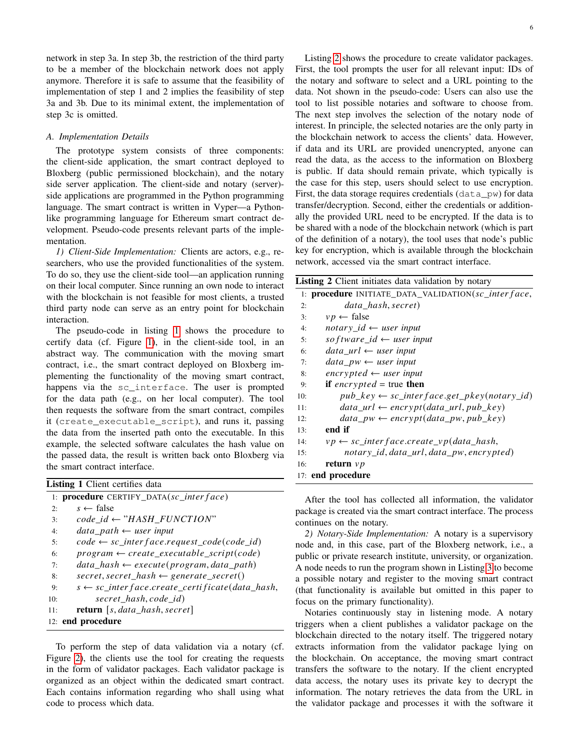network in step 3a. In step 3b, the restriction of the third party to be a member of the blockchain network does not apply anymore. Therefore it is safe to assume that the feasibility of implementation of step 1 and 2 implies the feasibility of step 3a and 3b. Due to its minimal extent, the implementation of step 3c is omitted.

# *A. Implementation Details*

The prototype system consists of three components: the client-side application, the smart contract deployed to Bloxberg (public permissioned blockchain), and the notary side server application. The client-side and notary (server) side applications are programmed in the Python programming language. The smart contract is written in Vyper—a Pythonlike programming language for Ethereum smart contract development. Pseudo-code presents relevant parts of the implementation.

*1) Client-Side Implementation:* Clients are actors, e.g., researchers, who use the provided functionalities of the system. To do so, they use the client-side tool—an application running on their local computer. Since running an own node to interact with the blockchain is not feasible for most clients, a trusted third party node can serve as an entry point for blockchain interaction.

The pseudo-code in listing [1](#page-5-0) shows the procedure to certify data (cf. Figure [1\)](#page-3-0), in the client-side tool, in an abstract way. The communication with the moving smart contract, i.e., the smart contract deployed on Bloxberg implementing the functionality of the moving smart contract, happens via the sc\_interface. The user is prompted for the data path (e.g., on her local computer). The tool then requests the software from the smart contract, compiles it (create\_executable\_script), and runs it, passing the data from the inserted path onto the executable. In this example, the selected software calculates the hash value on the passed data, the result is written back onto Bloxberg via the smart contract interface.

<span id="page-5-0"></span>

| <b>Listing 1</b> Client certifies data |                                                               |  |  |
|----------------------------------------|---------------------------------------------------------------|--|--|
|                                        | 1: procedure CERTIFY_DATA(sc_inter face)                      |  |  |
| 2:                                     | $s \leftarrow$ false                                          |  |  |
| 3:                                     | $code_id \leftarrow "HASH_FUNCTION"$                          |  |  |
| 4:                                     | $data$ path $\leftarrow$ user input                           |  |  |
| 5:                                     | $code \leftarrow sc\_interface.request\_code(code\_id)$       |  |  |
| 6:                                     | $program \leftarrow create\_execute\_script(code)$            |  |  |
| 7:                                     | $data\_hash \leftarrow execute(\n    program, data\_path)$    |  |  |
| 8:                                     | $secret, secret\_hash \leftarrow generate\_secret()$          |  |  |
| 9:                                     | $s \leftarrow sc\_interface.create\_certificance(data\_hash,$ |  |  |
| 10:                                    | secret hash, code id)                                         |  |  |
| 11:                                    | <b>return</b> $[s, data\_hash, secret]$                       |  |  |
|                                        | 12: end procedure                                             |  |  |

To perform the step of data validation via a notary (cf. Figure [2\)](#page-3-1), the clients use the tool for creating the requests in the form of validator packages. Each validator package is organized as an object within the dedicated smart contract. Each contains information regarding who shall using what code to process which data.

Listing [2](#page-5-1) shows the procedure to create validator packages. First, the tool prompts the user for all relevant input: IDs of the notary and software to select and a URL pointing to the data. Not shown in the pseudo-code: Users can also use the tool to list possible notaries and software to choose from. The next step involves the selection of the notary node of interest. In principle, the selected notaries are the only party in the blockchain network to access the clients' data. However, if data and its URL are provided unencrypted, anyone can read the data, as the access to the information on Bloxberg is public. If data should remain private, which typically is the case for this step, users should select to use encryption. First, the data storage requires credentials  $(data \, pw)$  for data transfer/decryption. Second, either the credentials or additionally the provided URL need to be encrypted. If the data is to be shared with a node of the blockchain network (which is part of the definition of a notary), the tool uses that node's public key for encryption, which is available through the blockchain network, accessed via the smart contract interface.

<span id="page-5-1"></span>

| <b>Listing 2</b> Client initiates data validation by notary     |
|-----------------------------------------------------------------|
| 1: procedure INITIATE_DATA_VALIDATION(sc_inter face,            |
| data hash, secret)<br>2:                                        |
| $vp \leftarrow false$<br>3:                                     |
| notary_id $\leftarrow$ user input<br>4:                         |
| so f tware_id $\leftarrow$ user input<br>5:                     |
| $data\_url \leftarrow user input$<br>6:                         |
| $data\, pw \leftarrow user\, input$<br>7:                       |
| $\textit{encrypted} \leftarrow \textit{user input}$<br>8:       |
| if encrypted = true then<br>9:                                  |
| $pub\_key \leftarrow sc\_interface.get\_pkey(notary_id)$<br>10: |
| $data\_url \leftarrow encrypt(data\_url, pub\_key)$<br>11:      |
| $data\_pw \leftarrow encrypt(data\_pw, pub\_key)$<br>12:        |
| end if<br>13:                                                   |
| $vp \leftarrow sc\_interface.create\_vp(data\_hash,$<br>14:     |
| notary_id, data_url, data_pw, encrypted)<br>15:                 |
| return $\nu p$<br>16:                                           |
| 17: end procedure                                               |

After the tool has collected all information, the validator package is created via the smart contract interface. The process continues on the notary.

*2) Notary-Side Implementation:* A notary is a supervisory node and, in this case, part of the Bloxberg network, i.e., a public or private research institute, university, or organization. A node needs to run the program shown in Listing [3](#page-6-0) to become a possible notary and register to the moving smart contract (that functionality is available but omitted in this paper to focus on the primary functionality).

Notaries continuously stay in listening mode. A notary triggers when a client publishes a validator package on the blockchain directed to the notary itself. The triggered notary extracts information from the validator package lying on the blockchain. On acceptance, the moving smart contract transfers the software to the notary. If the client encrypted data access, the notary uses its private key to decrypt the information. The notary retrieves the data from the URL in the validator package and processes it with the software it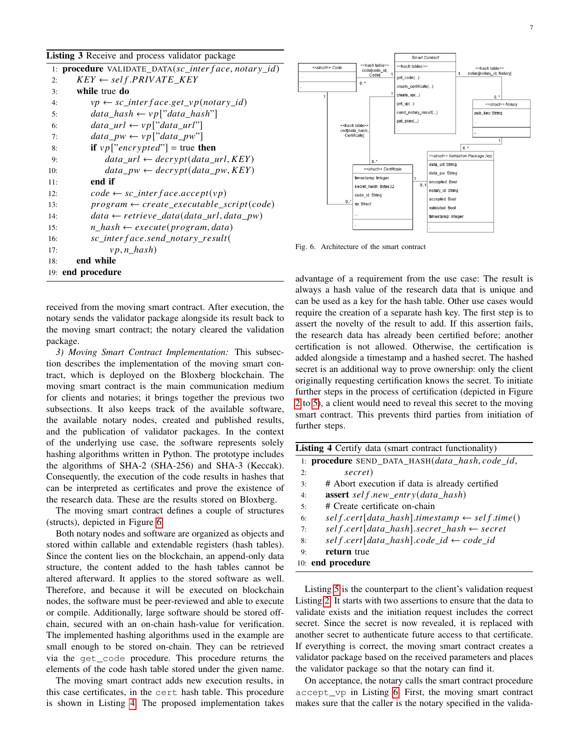<span id="page-6-0"></span>

|  |  |  |  |  | Listing 3 Receive and process validator package |  |
|--|--|--|--|--|-------------------------------------------------|--|
|--|--|--|--|--|-------------------------------------------------|--|

| 1: <b>procedure</b> VALIDATE_DATA(sc_inter face, notary_id)  |
|--------------------------------------------------------------|
| $KEY \leftarrow self.PRIVATE\_KEY$<br>2:                     |
| while true do<br>3:                                          |
| $vp \leftarrow sc$ interface.get vp(notary id)<br>4:         |
| $data\_hash \leftarrow vp['data\_hash"]$<br>5:               |
| $data\_url \leftarrow vp['data\_url"]$<br>6:                 |
| $data\_pw \leftarrow vp['data\_pw"]$<br>7:                   |
| <b>if</b> $vp['encrypted'']$ = true <b>then</b><br>8:        |
| $data\_url \leftarrow decrypt(data\_url, KEY)$<br>9:         |
| $data\_pw \leftarrow decrypt(data\_pw, KEY)$<br>10:          |
| end if<br>11:                                                |
| $code \leftarrow sc\_interface}$<br>12:                      |
| $program \leftarrow create\_execute\_script(code)$<br>13:    |
| $data \leftarrow retrieve\_data(data\_url, data\_pw)$<br>14: |
| $n\_hash \leftarrow execute(\n    program, data)$<br>15:     |
| sc_inter face.send_notary_result(<br>16:                     |
| $vp, n\_hash)$<br>17:                                        |
| end while<br>18:                                             |
| 19: end procedure                                            |
|                                                              |

received from the moving smart contract. After execution, the notary sends the validator package alongside its result back to the moving smart contract; the notary cleared the validation package.

*3) Moving Smart Contract Implementation:* This subsection describes the implementation of the moving smart contract, which is deployed on the Bloxberg blockchain. The moving smart contract is the main communication medium for clients and notaries; it brings together the previous two subsections. It also keeps track of the available software, the available notary nodes, created and published results, and the publication of validator packages. In the context of the underlying use case, the software represents solely hashing algorithms written in Python. The prototype includes the algorithms of SHA-2 (SHA-256) and SHA-3 (Keccak). Consequently, the execution of the code results in hashes that can be interpreted as certificates and prove the existence of the research data. These are the results stored on Bloxberg.

The moving smart contract defines a couple of structures (structs), depicted in Figure [6.](#page-6-1)

Both notary nodes and software are organized as objects and stored within callable and extendable registers (hash tables). Since the content lies on the blockchain, an append-only data structure, the content added to the hash tables cannot be altered afterward. It applies to the stored software as well. Therefore, and because it will be executed on blockchain nodes, the software must be peer-reviewed and able to execute or compile. Additionally, large software should be stored offchain, secured with an on-chain hash-value for verification. The implemented hashing algorithms used in the example are small enough to be stored on-chain. They can be retrieved via the get\_code procedure. This procedure returns the elements of the code hash table stored under the given name.

The moving smart contract adds new execution results, in this case certificates, in the cert hash table. This procedure is shown in Listing [4.](#page-6-2) The proposed implementation takes



<span id="page-6-1"></span>Fig. 6. Architecture of the smart contract

advantage of a requirement from the use case: The result is always a hash value of the research data that is unique and can be used as a key for the hash table. Other use cases would require the creation of a separate hash key. The first step is to assert the novelty of the result to add. If this assertion fails, the research data has already been certified before; another certification is not allowed. Otherwise, the certification is added alongside a timestamp and a hashed secret. The hashed secret is an additional way to prove ownership: only the client originally requesting certification knows the secret. To initiate further steps in the process of certification (depicted in Figure [2](#page-3-1) to [5\)](#page-4-3), a client would need to reveal this secret to the moving smart contract. This prevents third parties from initiation of further steps.

<span id="page-6-2"></span>

| <b>Listing 4</b> Certify data (smart contract functionality) |                                                                |  |  |
|--------------------------------------------------------------|----------------------------------------------------------------|--|--|
|                                                              | 1: <b>procedure</b> SEND DATA HASH( <i>data hash, code id,</i> |  |  |
| 2:                                                           | secret)                                                        |  |  |
| 3:                                                           | # Abort execution if data is already certified                 |  |  |
| 4:                                                           | <b>assert</b> self.new_entry( $data\_hash$ )                   |  |  |
| 5:                                                           | # Create certificate on-chain                                  |  |  |
| 6:                                                           | $self.cert[data\_hash].timestamp \leftarrow self.time()$       |  |  |
| 7:                                                           | $self.cert[data\_hash].secret\_hash \leftarrow secret$         |  |  |
| 8:                                                           | $self.cert[data\_hash].code\_id \leftarrow code\_id$           |  |  |
| 9:                                                           | return true                                                    |  |  |
|                                                              | 10: end procedure                                              |  |  |

Listing [5](#page-7-0) is the counterpart to the client's validation request Listing [2.](#page-5-1) It starts with two assertions to ensure that the data to validate exists and the initiation request includes the correct secret. Since the secret is now revealed, it is replaced with another secret to authenticate future access to that certificate. If everything is correct, the moving smart contract creates a validator package based on the received parameters and places the validator package so that the notary can find it.

On acceptance, the notary calls the smart contract procedure accept\_vp in Listing [6.](#page-7-1) First, the moving smart contract makes sure that the caller is the notary specified in the valida-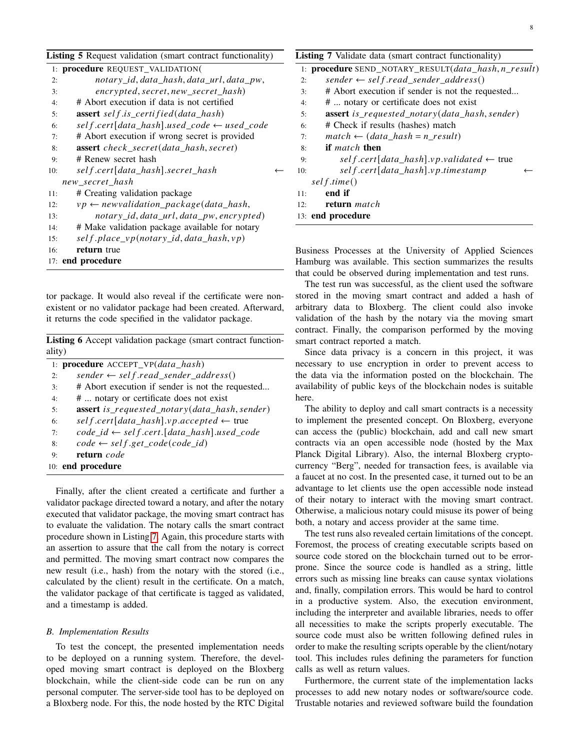| × | ٦<br>۰. |  |
|---|---------|--|
|   |         |  |

<span id="page-7-0"></span>

| <b>Listing 5</b> Request validation (smart contract functionality) |                                                          | Listing          |                |
|--------------------------------------------------------------------|----------------------------------------------------------|------------------|----------------|
|                                                                    | 1: procedure REQUEST_VALIDATION(                         |                  | $1:$ pro       |
| 2:                                                                 | notary_id, data_hash, data_url, data_pw,                 |                  | 2:             |
| 3:                                                                 | encrypted, secret, new_secret_hash)                      |                  | 3:             |
| 4:                                                                 | # Abort execution if data is not certified               |                  | 4:             |
| 5:                                                                 | assert self.is_certified(data_hash)                      |                  | 5:             |
| 6:                                                                 | $self.cert[data\_hash].used\_code \leftarrow used\_code$ |                  | 6:             |
| 7:                                                                 | # Abort execution if wrong secret is provided            |                  | 7:             |
| 8:                                                                 | <b>assert</b> check_secret(data_hash, secret)            |                  | 8:             |
| 9:                                                                 | # Renew secret hash                                      |                  | 9:             |
| 10:                                                                | self.cert[data_hash].secret_hash                         | $\longleftarrow$ | 10:            |
|                                                                    | new_secret_hash                                          |                  | sel            |
| 11:                                                                | # Creating validation package                            |                  | 11:            |
| 12:                                                                | $vp \leftarrow new validation\_package(data\_hash,$      |                  | 12:            |
| 13:                                                                | notary_id, data_url, data_pw, encrypted)                 |                  | 13: enc        |
| 14:                                                                | # Make validation package available for notary           |                  |                |
| 15:                                                                | self.place_vp(notary_id,data_hash,vp)                    |                  |                |
| 16:                                                                | return true                                              |                  | <b>Busines</b> |
|                                                                    |                                                          |                  |                |

17: end procedure

tor package. It would also reveal if the certificate were nonexistent or no validator package had been created. Afterward, it returns the code specified in the validator package.

<span id="page-7-1"></span>Listing 6 Accept validation package (smart contract functionality)

|    | 1: <b>procedure</b> ACCEPT $VP(data \ hash)$           |
|----|--------------------------------------------------------|
| 2: | $sender \leftarrow self.read\_sender\_address()$       |
| 3: | # Abort execution if sender is not the requested       |
| 4: | #  notary or certificate does not exist                |
| 5: | <b>assert</b> is requested notary (data hash, sender)  |
| 6: | $self.cert[data\_hash].vp. accepted \leftarrow true$   |
| 7: | $code_id \leftarrow self.cert.[data\_hash].used\_code$ |
| 8: | $code \leftarrow self.get\_code(code\_id)$             |
| 9: | return code                                            |
|    | 10: end procedure                                      |

Finally, after the client created a certificate and further a validator package directed toward a notary, and after the notary executed that validator package, the moving smart contract has to evaluate the validation. The notary calls the smart contract procedure shown in Listing [7.](#page-7-2) Again, this procedure starts with an assertion to assure that the call from the notary is correct and permitted. The moving smart contract now compares the new result (i.e., hash) from the notary with the stored (i.e., calculated by the client) result in the certificate. On a match, the validator package of that certificate is tagged as validated, and a timestamp is added.

## *B. Implementation Results*

To test the concept, the presented implementation needs to be deployed on a running system. Therefore, the developed moving smart contract is deployed on the Bloxberg blockchain, while the client-side code can be run on any personal computer. The server-side tool has to be deployed on a Bloxberg node. For this, the node hosted by the RTC Digital

<span id="page-7-2"></span>

|     | Listing 7 Validate data (smart contract functionality)              |
|-----|---------------------------------------------------------------------|
|     | 1: <b>procedure</b> SEND_NOTARY_RESULT( <i>data_hash,n_result</i> ) |
| 2:  | $sender \leftarrow self.read\_sender\_address()$                    |
| 3:  | # Abort execution if sender is not the requested                    |
| 4:  | #  notary or certificate does not exist                             |
| 5:  | <b>assert</b> is requested notary(data hash, sender)                |
| 6:  | # Check if results (hashes) match                                   |
| 7:  | $match \leftarrow (data\_hash = n\_result)$                         |
| 8:  | <b>if</b> match then                                                |
| 9:  | $self.cert[data\_hash].vp.value de \leftarrow true$                 |
| 10: | self.cert[data_hash].vp.timestamp                                   |
|     | sel f.time()                                                        |
| 11: | end if                                                              |
| 12: | return match                                                        |
|     | 13: end procedure                                                   |

Is Processes at the University of Applied Sciences Hamburg was available. This section summarizes the results that could be observed during implementation and test runs.

The test run was successful, as the client used the software stored in the moving smart contract and added a hash of arbitrary data to Bloxberg. The client could also invoke validation of the hash by the notary via the moving smart contract. Finally, the comparison performed by the moving smart contract reported a match.

Since data privacy is a concern in this project, it was necessary to use encryption in order to prevent access to the data via the information posted on the blockchain. The availability of public keys of the blockchain nodes is suitable here.

The ability to deploy and call smart contracts is a necessity to implement the presented concept. On Bloxberg, everyone can access the (public) blockchain, add and call new smart contracts via an open accessible node (hosted by the Max Planck Digital Library). Also, the internal Bloxberg cryptocurrency "Berg", needed for transaction fees, is available via a faucet at no cost. In the presented case, it turned out to be an advantage to let clients use the open accessible node instead of their notary to interact with the moving smart contract. Otherwise, a malicious notary could misuse its power of being both, a notary and access provider at the same time.

The test runs also revealed certain limitations of the concept. Foremost, the process of creating executable scripts based on source code stored on the blockchain turned out to be errorprone. Since the source code is handled as a string, little errors such as missing line breaks can cause syntax violations and, finally, compilation errors. This would be hard to control in a productive system. Also, the execution environment, including the interpreter and available libraries, needs to offer all necessities to make the scripts properly executable. The source code must also be written following defined rules in order to make the resulting scripts operable by the client/notary tool. This includes rules defining the parameters for function calls as well as return values.

Furthermore, the current state of the implementation lacks processes to add new notary nodes or software/source code. Trustable notaries and reviewed software build the foundation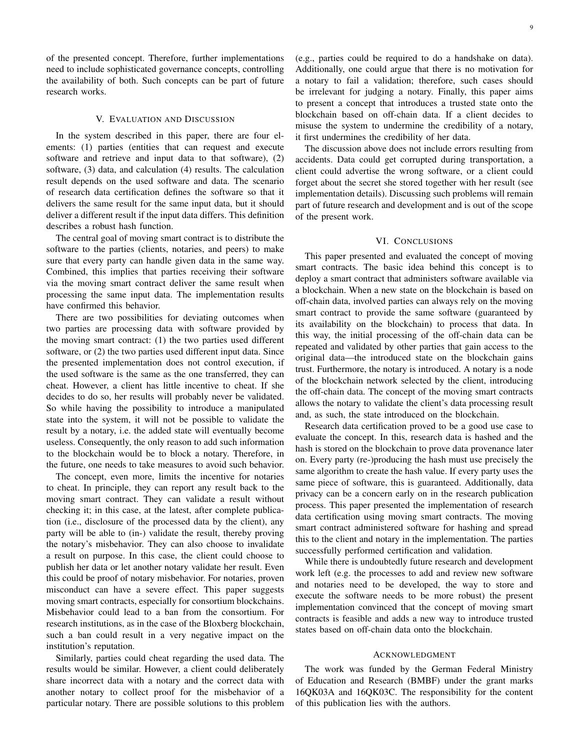of the presented concept. Therefore, further implementations need to include sophisticated governance concepts, controlling the availability of both. Such concepts can be part of future research works.

# V. EVALUATION AND DISCUSSION

<span id="page-8-1"></span>In the system described in this paper, there are four elements: (1) parties (entities that can request and execute software and retrieve and input data to that software), (2) software, (3) data, and calculation (4) results. The calculation result depends on the used software and data. The scenario of research data certification defines the software so that it delivers the same result for the same input data, but it should deliver a different result if the input data differs. This definition describes a robust hash function.

The central goal of moving smart contract is to distribute the software to the parties (clients, notaries, and peers) to make sure that every party can handle given data in the same way. Combined, this implies that parties receiving their software via the moving smart contract deliver the same result when processing the same input data. The implementation results have confirmed this behavior.

There are two possibilities for deviating outcomes when two parties are processing data with software provided by the moving smart contract: (1) the two parties used different software, or (2) the two parties used different input data. Since the presented implementation does not control execution, if the used software is the same as the one transferred, they can cheat. However, a client has little incentive to cheat. If she decides to do so, her results will probably never be validated. So while having the possibility to introduce a manipulated state into the system, it will not be possible to validate the result by a notary, i.e. the added state will eventually become useless. Consequently, the only reason to add such information to the blockchain would be to block a notary. Therefore, in the future, one needs to take measures to avoid such behavior.

The concept, even more, limits the incentive for notaries to cheat. In principle, they can report any result back to the moving smart contract. They can validate a result without checking it; in this case, at the latest, after complete publication (i.e., disclosure of the processed data by the client), any party will be able to (in-) validate the result, thereby proving the notary's misbehavior. They can also choose to invalidate a result on purpose. In this case, the client could choose to publish her data or let another notary validate her result. Even this could be proof of notary misbehavior. For notaries, proven misconduct can have a severe effect. This paper suggests moving smart contracts, especially for consortium blockchains. Misbehavior could lead to a ban from the consortium. For research institutions, as in the case of the Bloxberg blockchain, such a ban could result in a very negative impact on the institution's reputation.

Similarly, parties could cheat regarding the used data. The results would be similar. However, a client could deliberately share incorrect data with a notary and the correct data with another notary to collect proof for the misbehavior of a particular notary. There are possible solutions to this problem (e.g., parties could be required to do a handshake on data). Additionally, one could argue that there is no motivation for a notary to fail a validation; therefore, such cases should be irrelevant for judging a notary. Finally, this paper aims to present a concept that introduces a trusted state onto the blockchain based on off-chain data. If a client decides to misuse the system to undermine the credibility of a notary, it first undermines the credibility of her data.

The discussion above does not include errors resulting from accidents. Data could get corrupted during transportation, a client could advertise the wrong software, or a client could forget about the secret she stored together with her result (see implementation details). Discussing such problems will remain part of future research and development and is out of the scope of the present work.

## VI. CONCLUSIONS

<span id="page-8-0"></span>This paper presented and evaluated the concept of moving smart contracts. The basic idea behind this concept is to deploy a smart contract that administers software available via a blockchain. When a new state on the blockchain is based on off-chain data, involved parties can always rely on the moving smart contract to provide the same software (guaranteed by its availability on the blockchain) to process that data. In this way, the initial processing of the off-chain data can be repeated and validated by other parties that gain access to the original data—the introduced state on the blockchain gains trust. Furthermore, the notary is introduced. A notary is a node of the blockchain network selected by the client, introducing the off-chain data. The concept of the moving smart contracts allows the notary to validate the client's data processing result and, as such, the state introduced on the blockchain.

Research data certification proved to be a good use case to evaluate the concept. In this, research data is hashed and the hash is stored on the blockchain to prove data provenance later on. Every party (re-)producing the hash must use precisely the same algorithm to create the hash value. If every party uses the same piece of software, this is guaranteed. Additionally, data privacy can be a concern early on in the research publication process. This paper presented the implementation of research data certification using moving smart contracts. The moving smart contract administered software for hashing and spread this to the client and notary in the implementation. The parties successfully performed certification and validation.

While there is undoubtedly future research and development work left (e.g. the processes to add and review new software and notaries need to be developed, the way to store and execute the software needs to be more robust) the present implementation convinced that the concept of moving smart contracts is feasible and adds a new way to introduce trusted states based on off-chain data onto the blockchain.

## ACKNOWLEDGMENT

The work was funded by the German Federal Ministry of Education and Research (BMBF) under the grant marks 16QK03A and 16QK03C. The responsibility for the content of this publication lies with the authors.